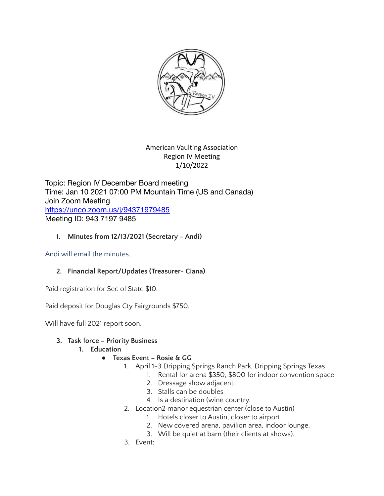

American Vaulting Association Region IV Meeting 1/10/2022

Topic: Region IV December Board meeting Time: Jan 10 2021 07:00 PM Mountain Time (US and Canada) Join Zoom Meeting <https://unco.zoom.us/j/94371979485> Meeting ID: 943 7197 9485

### **1. Minutes from 12/13/2021 (Secretary – Andi)**

Andi will email the minutes.

# **2. Financial Report/Updates (Treasurer- Ciana)**

Paid registration for Sec of State \$10.

Paid deposit for Douglas Cty Fairgrounds \$750.

Will have full 2021 report soon.

# **3. Task force – Priority Business**

#### **1. Education**

# **● Texas Event – Rosie & GG**

- 1. April 1-3 Dripping Springs Ranch Park, Dripping Springs Texas
	- 1. Rental for arena \$350; \$800 for indoor convention space
	- 2. Dressage show adjacent.
	- 3. Stalls can be doubles
	- 4. Is a destination (wine country.
- 2. Location2 manor equestrian center (close to Austin)
	- 1. Hotels closer to Austin, closer to airport.
	- 2. New covered arena, pavilion area, indoor lounge.
	- 3. Will be quiet at barn (their clients at shows).
- 3. Event: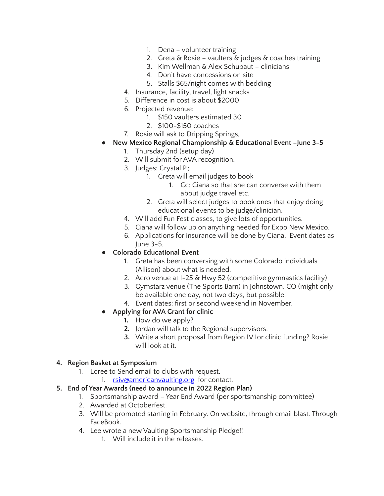- 1. Dena volunteer training
- 2. Greta & Rosie vaulters & judges & coaches training
- 3. Kim Wellman & Alex Schubaut clinicians
- 4. Don't have concessions on site
- 5. Stalls \$65/night comes with bedding
- 4. Insurance, facility, travel, light snacks
- 5. Difference in cost is about \$2000
- 6. Projected revenue:
	- 1. \$150 vaulters estimated 30
	- 2. \$100-\$150 coaches
- 7. Rosie will ask to Dripping Springs,
- **● New Mexico Regional Championship & Educational Event –June 3-5**
	- 1. Thursday 2nd (setup day)
	- 2. Will submit for AVA recognition.
	- 3. Judges: Crystal P.;
		- 1. Greta will email judges to book
			- 1. Cc: Ciana so that she can converse with them about judge travel etc.
		- 2. Greta will select judges to book ones that enjoy doing educational events to be judge/clinician.
	- 4. Will add Fun Fest classes, to give lots of opportunities.
	- 5. Ciana will follow up on anything needed for Expo New Mexico.
	- 6. Applications for insurance will be done by Ciana. Event dates as June 3-5.
- **● Colorado Educational Event**
	- 1. Greta has been conversing with some Colorado individuals (Allison) about what is needed.
	- 2. Acro venue at I-25 & Hwy 52 (competitive gymnastics facility)
	- 3. Gymstarz venue (The Sports Barn) in Johnstown, CO (might only be available one day, not two days, but possible.
	- 4. Event dates: first or second weekend in November.
- **● Applying for AVA Grant for clinic**
	- **1.** How do we apply?
	- **2.** Jordan will talk to the Regional supervisors.
	- **3.** Write a short proposal from Region IV for clinic funding? Rosie will look at it.

#### **4. Region Basket at Symposium**

- 1. Loree to Send email to clubs with request.
	- 1. [rsiv@americanvaulting.org](mailto:rsiv@americanvaulting.org) for contact.

# **5. End of Year Awards (need to announce in 2022 Region Plan)**

- 1. Sportsmanship award Year End Award (per sportsmanship committee)
- 2. Awarded at Octoberfest.
- 3. Will be promoted starting in February. On website, through email blast. Through FaceBook.
- 4. Lee wrote a new Vaulting Sportsmanship Pledge!!
	- 1. Will include it in the releases.